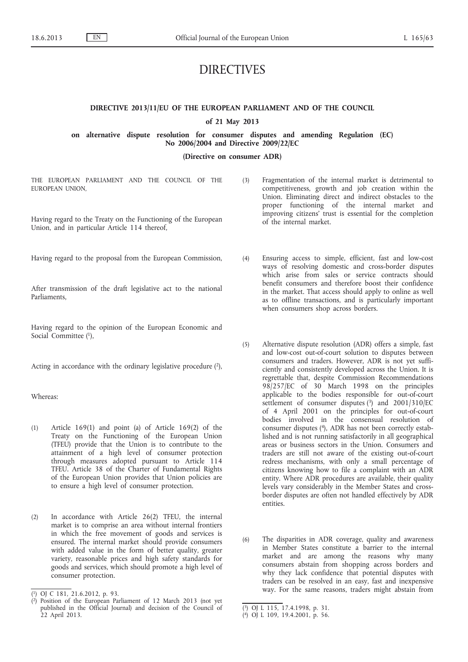# DIRECTIVES

# **DIRECTIVE 2013/11/EU OF THE EUROPEAN PARLIAMENT AND OF THE COUNCIL**

**of 21 May 2013**

**on alternative dispute resolution for consumer disputes and amending Regulation (EC) No 2006/2004 and Directive 2009/22/EC**

**(Directive on consumer ADR)**

THE EUROPEAN PARLIAMENT AND THE COUNCIL OF THE EUROPEAN UNION,

Having regard to the Treaty on the Functioning of the European Union, and in particular Article 114 thereof,

Having regard to the proposal from the European Commission,

After transmission of the draft legislative act to the national Parliaments,

Having regard to the opinion of the European Economic and Social Committee (1),

Acting in accordance with the ordinary legislative procedure  $(2)$ ,

Whereas:

- (1) Article 169(1) and point (a) of Article 169(2) of the Treaty on the Functioning of the European Union (TFEU) provide that the Union is to contribute to the attainment of a high level of consumer protection through measures adopted pursuant to Article 114 TFEU. Article 38 of the Charter of Fundamental Rights of the European Union provides that Union policies are to ensure a high level of consumer protection.
- (2) In accordance with Article 26(2) TFEU, the internal market is to comprise an area without internal frontiers in which the free movement of goods and services is ensured. The internal market should provide consumers with added value in the form of better quality, greater variety, reasonable prices and high safety standards for goods and services, which should promote a high level of consumer protection.
- (3) Fragmentation of the internal market is detrimental to competitiveness, growth and job creation within the Union. Eliminating direct and indirect obstacles to the proper functioning of the internal market and improving citizens' trust is essential for the completion of the internal market.
- (4) Ensuring access to simple, efficient, fast and low-cost ways of resolving domestic and cross-border disputes which arise from sales or service contracts should benefit consumers and therefore boost their confidence in the market. That access should apply to online as well as to offline transactions, and is particularly important when consumers shop across borders.
- (5) Alternative dispute resolution (ADR) offers a simple, fast and low-cost out-of-court solution to disputes between consumers and traders. However, ADR is not yet sufficiently and consistently developed across the Union. It is regrettable that, despite Commission Recommendations 98/257/EC of 30 March 1998 on the principles applicable to the bodies responsible for out-of-court settlement of consumer disputes (3) and 2001/310/EC of 4 April 2001 on the principles for out-of-court bodies involved in the consensual resolution of consumer disputes (4), ADR has not been correctly established and is not running satisfactorily in all geographical areas or business sectors in the Union. Consumers and traders are still not aware of the existing out-of-court redress mechanisms, with only a small percentage of citizens knowing how to file a complaint with an ADR entity. Where ADR procedures are available, their quality levels vary considerably in the Member States and crossborder disputes are often not handled effectively by ADR entities.
- (6) The disparities in ADR coverage, quality and awareness in Member States constitute a barrier to the internal market and are among the reasons why many consumers abstain from shopping across borders and why they lack confidence that potential disputes with traders can be resolved in an easy, fast and inexpensive way. For the same reasons, traders might abstain from

<sup>(</sup> 1) OJ C 181, 21.6.2012, p. 93.

<sup>(</sup> 2) Position of the European Parliament of 12 March 2013 (not yet published in the Official Journal) and decision of the Council of 22 April 2013.

<sup>(</sup> 3) OJ L 115, 17.4.1998, p. 31.

<sup>(</sup> 4) OJ L 109, 19.4.2001, p. 56.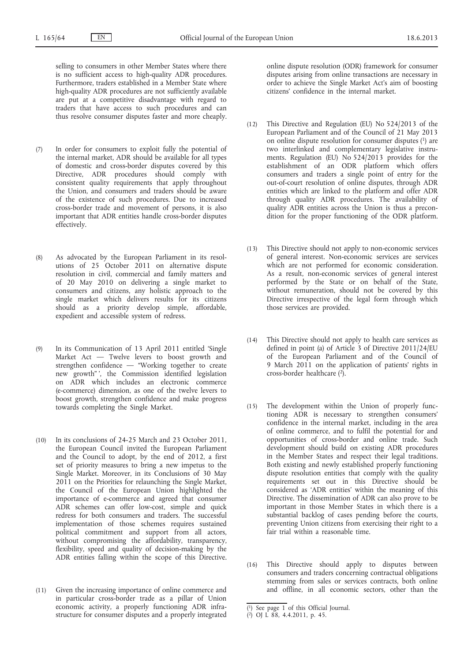selling to consumers in other Member States where there is no sufficient access to high-quality ADR procedures. Furthermore, traders established in a Member State where high-quality ADR procedures are not sufficiently available are put at a competitive disadvantage with regard to traders that have access to such procedures and can thus resolve consumer disputes faster and more cheaply.

- (7) In order for consumers to exploit fully the potential of the internal market, ADR should be available for all types of domestic and cross-border disputes covered by this Directive, ADR procedures should comply with consistent quality requirements that apply throughout the Union, and consumers and traders should be aware of the existence of such procedures. Due to increased cross-border trade and movement of persons, it is also important that ADR entities handle cross-border disputes effectively.
- (8) As advocated by the European Parliament in its resolutions of 25 October 2011 on alternative dispute resolution in civil, commercial and family matters and of 20 May 2010 on delivering a single market to consumers and citizens, any holistic approach to the single market which delivers results for its citizens should as a priority develop simple, affordable, expedient and accessible system of redress.
- (9) In its Communication of 13 April 2011 entitled 'Single Market Act — Twelve levers to boost growth and strengthen confidence — "Working together to create new growth" ', the Commission identified legislation on ADR which includes an electronic commerce (e-commerce) dimension, as one of the twelve levers to boost growth, strengthen confidence and make progress towards completing the Single Market.
- (10) In its conclusions of 24-25 March and 23 October 2011, the European Council invited the European Parliament and the Council to adopt, by the end of 2012, a first set of priority measures to bring a new impetus to the Single Market. Moreover, in its Conclusions of 30 May 2011 on the Priorities for relaunching the Single Market, the Council of the European Union highlighted the importance of e-commerce and agreed that consumer ADR schemes can offer low-cost, simple and quick redress for both consumers and traders. The successful implementation of those schemes requires sustained political commitment and support from all actors, without compromising the affordability, transparency, flexibility, speed and quality of decision-making by the ADR entities falling within the scope of this Directive.
- (11) Given the increasing importance of online commerce and in particular cross-border trade as a pillar of Union economic activity, a properly functioning ADR infrastructure for consumer disputes and a properly integrated

online dispute resolution (ODR) framework for consumer disputes arising from online transactions are necessary in order to achieve the Single Market Act's aim of boosting citizens' confidence in the internal market.

- (12) This Directive and Regulation (EU) No 524/2013 of the European Parliament and of the Council of 21 May 2013 on online dispute resolution for consumer disputes (1) are two interlinked and complementary legislative instruments. Regulation (EU) No 524/2013 provides for the establishment of an ODR platform which offers consumers and traders a single point of entry for the out-of-court resolution of online disputes, through ADR entities which are linked to the platform and offer ADR through quality ADR procedures. The availability of quality ADR entities across the Union is thus a precondition for the proper functioning of the ODR platform.
- (13) This Directive should not apply to non-economic services of general interest. Non-economic services are services which are not performed for economic consideration. As a result, non-economic services of general interest performed by the State or on behalf of the State, without remuneration, should not be covered by this Directive irrespective of the legal form through which those services are provided.
- (14) This Directive should not apply to health care services as defined in point (a) of Article 3 of Directive 2011/24/EU of the European Parliament and of the Council of 9 March 2011 on the application of patients' rights in cross-border healthcare  $(2)$ .
- (15) The development within the Union of properly functioning ADR is necessary to strengthen consumers' confidence in the internal market, including in the area of online commerce, and to fulfil the potential for and opportunities of cross-border and online trade. Such development should build on existing ADR procedures in the Member States and respect their legal traditions. Both existing and newly established properly functioning dispute resolution entities that comply with the quality requirements set out in this Directive should be considered as 'ADR entities' within the meaning of this Directive. The dissemination of ADR can also prove to be important in those Member States in which there is a substantial backlog of cases pending before the courts, preventing Union citizens from exercising their right to a fair trial within a reasonable time.
- (16) This Directive should apply to disputes between consumers and traders concerning contractual obligations stemming from sales or services contracts, both online and offline, in all economic sectors, other than the

<sup>(</sup> 1) See page 1 of this Official Journal.

<sup>(</sup> 2) OJ L 88, 4.4.2011, p. 45.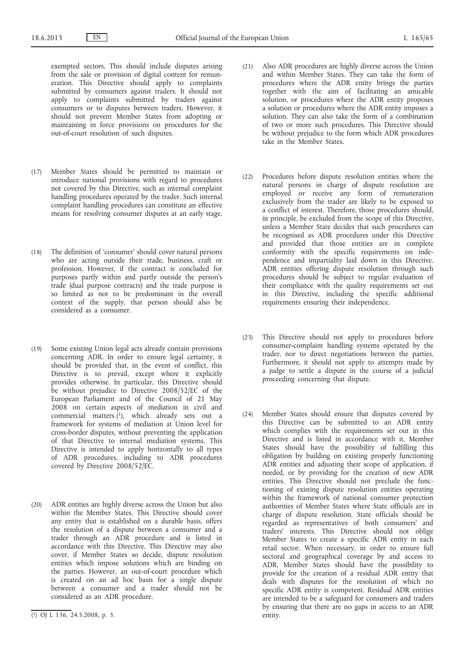exempted sectors. This should include disputes arising from the sale or provision of digital content for remuneration. This Directive should apply to complaints submitted by consumers against traders. It should not apply to complaints submitted by traders against consumers or to disputes between traders. However, it should not prevent Member States from adopting or maintaining in force provisions on procedures for the out-of-court resolution of such disputes.

- (17) Member States should be permitted to maintain or introduce national provisions with regard to procedures not covered by this Directive, such as internal complaint handling procedures operated by the trader. Such internal complaint handling procedures can constitute an effective means for resolving consumer disputes at an early stage.
- (18) The definition of 'consumer' should cover natural persons who are acting outside their trade, business, craft or profession. However, if the contract is concluded for purposes partly within and partly outside the person's trade (dual purpose contracts) and the trade purpose is so limited as not to be predominant in the overall context of the supply, that person should also be considered as a consumer.
- (19) Some existing Union legal acts already contain provisions concerning ADR. In order to ensure legal certainty, it should be provided that, in the event of conflict, this Directive is to prevail, except where it explicitly provides otherwise. In particular, this Directive should be without prejudice to Directive 2008/52/EC of the European Parliament and of the Council of 21 May 2008 on certain aspects of mediation in civil and commercial matters  $(1)$ , which already sets out a framework for systems of mediation at Union level for cross-border disputes, without preventing the application of that Directive to internal mediation systems. This Directive is intended to apply horizontally to all types of ADR procedures, including to ADR procedures covered by Directive 2008/52/EC.
- (20) ADR entities are highly diverse across the Union but also within the Member States. This Directive should cover any entity that is established on a durable basis, offers the resolution of a dispute between a consumer and a trader through an ADR procedure and is listed in accordance with this Directive. This Directive may also cover, if Member States so decide, dispute resolution entities which impose solutions which are binding on the parties. However, an out-of-court procedure which is created on an ad hoc basis for a single dispute between a consumer and a trader should not be considered as an ADR procedure.
- (21) Also ADR procedures are highly diverse across the Union and within Member States. They can take the form of procedures where the ADR entity brings the parties together with the aim of facilitating an amicable solution, or procedures where the ADR entity proposes a solution or procedures where the ADR entity imposes a solution. They can also take the form of a combination of two or more such procedures. This Directive should be without prejudice to the form which ADR procedures take in the Member States.
- (22) Procedures before dispute resolution entities where the natural persons in charge of dispute resolution are employed or receive any form of remuneration exclusively from the trader are likely to be exposed to a conflict of interest. Therefore, those procedures should, in principle, be excluded from the scope of this Directive, unless a Member State decides that such procedures can be recognised as ADR procedures under this Directive and provided that those entities are in complete conformity with the specific requirements on independence and impartiality laid down in this Directive. ADR entities offering dispute resolution through such procedures should be subject to regular evaluation of their compliance with the quality requirements set out in this Directive, including the specific additional requirements ensuring their independence.
- (23) This Directive should not apply to procedures before consumer-complaint handling systems operated by the trader, nor to direct negotiations between the parties. Furthermore, it should not apply to attempts made by a judge to settle a dispute in the course of a judicial proceeding concerning that dispute.
- (24) Member States should ensure that disputes covered by this Directive can be submitted to an ADR entity which complies with the requirements set out in this Directive and is listed in accordance with it. Member States should have the possibility of fulfilling this obligation by building on existing properly functioning ADR entities and adjusting their scope of application, if needed, or by providing for the creation of new ADR entities. This Directive should not preclude the functioning of existing dispute resolution entities operating within the framework of national consumer protection authorities of Member States where State officials are in charge of dispute resolution. State officials should be regarded as representatives of both consumers' and traders' interests. This Directive should not oblige Member States to create a specific ADR entity in each retail sector. When necessary, in order to ensure full sectoral and geographical coverage by and access to ADR, Member States should have the possibility to provide for the creation of a residual ADR entity that deals with disputes for the resolution of which no specific ADR entity is competent. Residual ADR entities are intended to be a safeguard for consumers and traders by ensuring that there are no gaps in access to an ADR entity.

<sup>(</sup> 1) OJ L 136, 24.5.2008, p. 3.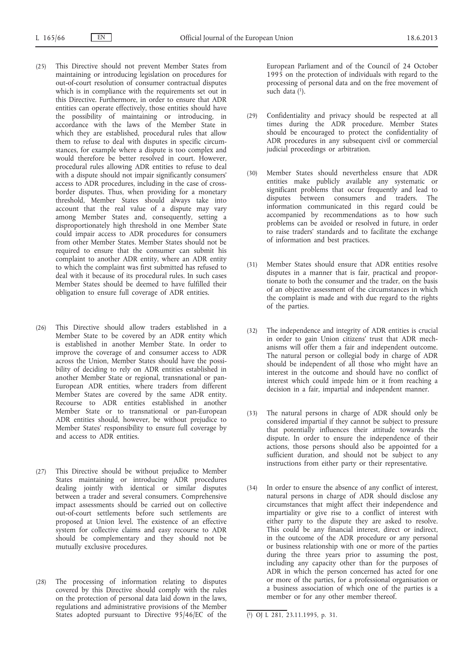- (25) This Directive should not prevent Member States from maintaining or introducing legislation on procedures for out-of-court resolution of consumer contractual disputes which is in compliance with the requirements set out in this Directive. Furthermore, in order to ensure that ADR entities can operate effectively, those entities should have the possibility of maintaining or introducing, in accordance with the laws of the Member State in which they are established, procedural rules that allow them to refuse to deal with disputes in specific circumstances, for example where a dispute is too complex and would therefore be better resolved in court. However, procedural rules allowing ADR entities to refuse to deal with a dispute should not impair significantly consumers' access to ADR procedures, including in the case of crossborder disputes. Thus, when providing for a monetary threshold, Member States should always take into account that the real value of a dispute may vary among Member States and, consequently, setting a disproportionately high threshold in one Member State could impair access to ADR procedures for consumers from other Member States. Member States should not be required to ensure that the consumer can submit his complaint to another ADR entity, where an ADR entity to which the complaint was first submitted has refused to deal with it because of its procedural rules. In such cases Member States should be deemed to have fulfilled their obligation to ensure full coverage of ADR entities.
- (26) This Directive should allow traders established in a Member State to be covered by an ADR entity which is established in another Member State. In order to improve the coverage of and consumer access to ADR across the Union, Member States should have the possibility of deciding to rely on ADR entities established in another Member State or regional, transnational or pan-European ADR entities, where traders from different Member States are covered by the same ADR entity. Recourse to ADR entities established in another Member State or to transnational or pan-European ADR entities should, however, be without prejudice to Member States' responsibility to ensure full coverage by and access to ADR entities.
- (27) This Directive should be without prejudice to Member States maintaining or introducing ADR procedures dealing jointly with identical or similar disputes between a trader and several consumers. Comprehensive impact assessments should be carried out on collective out-of-court settlements before such settlements are proposed at Union level. The existence of an effective system for collective claims and easy recourse to ADR should be complementary and they should not be mutually exclusive procedures.
- (28) The processing of information relating to disputes covered by this Directive should comply with the rules on the protection of personal data laid down in the laws, regulations and administrative provisions of the Member States adopted pursuant to Directive 95/46/EC of the

European Parliament and of the Council of 24 October 1995 on the protection of individuals with regard to the processing of personal data and on the free movement of such data (1).

- (29) Confidentiality and privacy should be respected at all times during the ADR procedure. Member States should be encouraged to protect the confidentiality of ADR procedures in any subsequent civil or commercial judicial proceedings or arbitration.
- (30) Member States should nevertheless ensure that ADR entities make publicly available any systematic or significant problems that occur frequently and lead to disputes between consumers and traders. The information communicated in this regard could be accompanied by recommendations as to how such problems can be avoided or resolved in future, in order to raise traders' standards and to facilitate the exchange of information and best practices.
- (31) Member States should ensure that ADR entities resolve disputes in a manner that is fair, practical and proportionate to both the consumer and the trader, on the basis of an objective assessment of the circumstances in which the complaint is made and with due regard to the rights of the parties.
- (32) The independence and integrity of ADR entities is crucial in order to gain Union citizens' trust that ADR mechanisms will offer them a fair and independent outcome. The natural person or collegial body in charge of ADR should be independent of all those who might have an interest in the outcome and should have no conflict of interest which could impede him or it from reaching a decision in a fair, impartial and independent manner.
- (33) The natural persons in charge of ADR should only be considered impartial if they cannot be subject to pressure that potentially influences their attitude towards the dispute. In order to ensure the independence of their actions, those persons should also be appointed for a sufficient duration, and should not be subject to any instructions from either party or their representative.
- (34) In order to ensure the absence of any conflict of interest, natural persons in charge of ADR should disclose any circumstances that might affect their independence and impartiality or give rise to a conflict of interest with either party to the dispute they are asked to resolve. This could be any financial interest, direct or indirect, in the outcome of the ADR procedure or any personal or business relationship with one or more of the parties during the three years prior to assuming the post, including any capacity other than for the purposes of ADR in which the person concerned has acted for one or more of the parties, for a professional organisation or a business association of which one of the parties is a member or for any other member thereof.

<sup>(</sup> 1) OJ L 281, 23.11.1995, p. 31.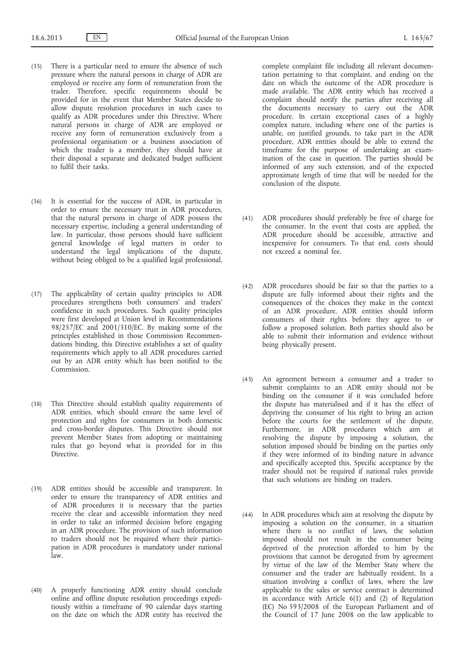- (35) There is a particular need to ensure the absence of such pressure where the natural persons in charge of ADR are employed or receive any form of remuneration from the trader. Therefore, specific requirements should be provided for in the event that Member States decide to allow dispute resolution procedures in such cases to qualify as ADR procedures under this Directive. Where natural persons in charge of ADR are employed or receive any form of remuneration exclusively from a professional organisation or a business association of which the trader is a member, they should have at their disposal a separate and dedicated budget sufficient to fulfil their tasks.
- (36) It is essential for the success of ADR, in particular in order to ensure the necessary trust in ADR procedures, that the natural persons in charge of ADR possess the necessary expertise, including a general understanding of law. In particular, those persons should have sufficient general knowledge of legal matters in order to understand the legal implications of the dispute, without being obliged to be a qualified legal professional.
- (37) The applicability of certain quality principles to ADR procedures strengthens both consumers' and traders' confidence in such procedures. Such quality principles were first developed at Union level in Recommendations 98/257/EC and 2001/310/EC. By making some of the principles established in those Commission Recommendations binding, this Directive establishes a set of quality requirements which apply to all ADR procedures carried out by an ADR entity which has been notified to the Commission.
- (38) This Directive should establish quality requirements of ADR entities, which should ensure the same level of protection and rights for consumers in both domestic and cross-border disputes. This Directive should not prevent Member States from adopting or maintaining rules that go beyond what is provided for in this Directive.
- (39) ADR entities should be accessible and transparent. In order to ensure the transparency of ADR entities and of ADR procedures it is necessary that the parties receive the clear and accessible information they need in order to take an informed decision before engaging in an ADR procedure. The provision of such information to traders should not be required where their participation in ADR procedures is mandatory under national law.
- (40) A properly functioning ADR entity should conclude online and offline dispute resolution proceedings expeditiously within a timeframe of 90 calendar days starting on the date on which the ADR entity has received the

complete complaint file including all relevant documentation pertaining to that complaint, and ending on the date on which the outcome of the ADR procedure is made available. The ADR entity which has received a complaint should notify the parties after receiving all the documents necessary to carry out the ADR procedure. In certain exceptional cases of a highly complex nature, including where one of the parties is unable, on justified grounds, to take part in the ADR procedure, ADR entities should be able to extend the timeframe for the purpose of undertaking an examination of the case in question. The parties should be informed of any such extension, and of the expected approximate length of time that will be needed for the conclusion of the dispute.

- (41) ADR procedures should preferably be free of charge for the consumer. In the event that costs are applied, the ADR procedure should be accessible, attractive and inexpensive for consumers. To that end, costs should not exceed a nominal fee.
- (42) ADR procedures should be fair so that the parties to a dispute are fully informed about their rights and the consequences of the choices they make in the context of an ADR procedure. ADR entities should inform consumers of their rights before they agree to or follow a proposed solution. Both parties should also be able to submit their information and evidence without being physically present.
- (43) An agreement between a consumer and a trader to submit complaints to an ADR entity should not be binding on the consumer if it was concluded before the dispute has materialised and if it has the effect of depriving the consumer of his right to bring an action before the courts for the settlement of the dispute. Furthermore, in ADR procedures which aim at resolving the dispute by imposing a solution, the solution imposed should be binding on the parties only if they were informed of its binding nature in advance and specifically accepted this. Specific acceptance by the trader should not be required if national rules provide that such solutions are binding on traders.
- (44) In ADR procedures which aim at resolving the dispute by imposing a solution on the consumer, in a situation where there is no conflict of laws, the solution imposed should not result in the consumer being deprived of the protection afforded to him by the provisions that cannot be derogated from by agreement by virtue of the law of the Member State where the consumer and the trader are habitually resident. In a situation involving a conflict of laws, where the law applicable to the sales or service contract is determined in accordance with Article 6(1) and (2) of Regulation (EC) No 593/2008 of the European Parliament and of the Council of 17 June 2008 on the law applicable to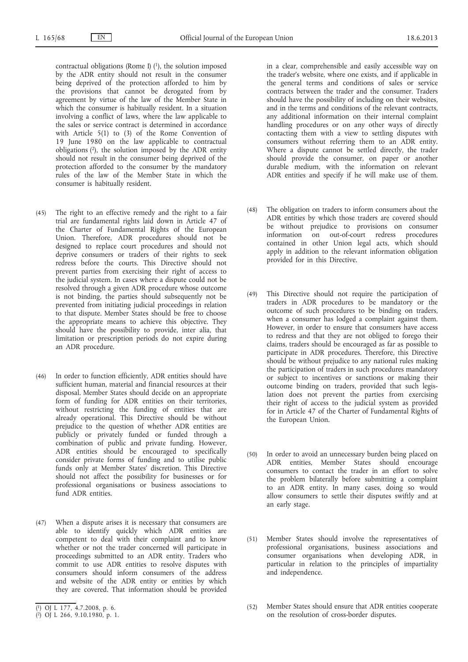contractual obligations (Rome I)  $(1)$ , the solution imposed by the ADR entity should not result in the consumer being deprived of the protection afforded to him by the provisions that cannot be derogated from by agreement by virtue of the law of the Member State in which the consumer is habitually resident. In a situation involving a conflict of laws, where the law applicable to the sales or service contract is determined in accordance with Article 5(1) to (3) of the Rome Convention of 19 June 1980 on the law applicable to contractual obligations  $(2)$ , the solution imposed by the ADR entity should not result in the consumer being deprived of the protection afforded to the consumer by the mandatory rules of the law of the Member State in which the consumer is habitually resident.

- (45) The right to an effective remedy and the right to a fair trial are fundamental rights laid down in Article 47 of the Charter of Fundamental Rights of the European Union. Therefore, ADR procedures should not be designed to replace court procedures and should not deprive consumers or traders of their rights to seek redress before the courts. This Directive should not prevent parties from exercising their right of access to the judicial system. In cases where a dispute could not be resolved through a given ADR procedure whose outcome is not binding, the parties should subsequently not be prevented from initiating judicial proceedings in relation to that dispute. Member States should be free to choose the appropriate means to achieve this objective. They should have the possibility to provide, inter alia, that limitation or prescription periods do not expire during an ADR procedure.
- (46) In order to function efficiently, ADR entities should have sufficient human, material and financial resources at their disposal. Member States should decide on an appropriate form of funding for ADR entities on their territories, without restricting the funding of entities that are already operational. This Directive should be without prejudice to the question of whether ADR entities are publicly or privately funded or funded through a combination of public and private funding. However, ADR entities should be encouraged to specifically consider private forms of funding and to utilise public funds only at Member States' discretion. This Directive should not affect the possibility for businesses or for professional organisations or business associations to fund ADR entities.
- (47) When a dispute arises it is necessary that consumers are able to identify quickly which ADR entities are competent to deal with their complaint and to know whether or not the trader concerned will participate in proceedings submitted to an ADR entity. Traders who commit to use ADR entities to resolve disputes with consumers should inform consumers of the address and website of the ADR entity or entities by which they are covered. That information should be provided

in a clear, comprehensible and easily accessible way on the trader's website, where one exists, and if applicable in the general terms and conditions of sales or service contracts between the trader and the consumer. Traders should have the possibility of including on their websites, and in the terms and conditions of the relevant contracts, any additional information on their internal complaint handling procedures or on any other ways of directly contacting them with a view to settling disputes with consumers without referring them to an ADR entity. Where a dispute cannot be settled directly, the trader should provide the consumer, on paper or another durable medium, with the information on relevant ADR entities and specify if he will make use of them.

- (48) The obligation on traders to inform consumers about the ADR entities by which those traders are covered should be without prejudice to provisions on consumer information on out-of-court redress procedures contained in other Union legal acts, which should apply in addition to the relevant information obligation provided for in this Directive.
- (49) This Directive should not require the participation of traders in ADR procedures to be mandatory or the outcome of such procedures to be binding on traders, when a consumer has lodged a complaint against them. However, in order to ensure that consumers have access to redress and that they are not obliged to forego their claims, traders should be encouraged as far as possible to participate in ADR procedures. Therefore, this Directive should be without prejudice to any national rules making the participation of traders in such procedures mandatory or subject to incentives or sanctions or making their outcome binding on traders, provided that such legislation does not prevent the parties from exercising their right of access to the judicial system as provided for in Article 47 of the Charter of Fundamental Rights of the European Union.
- (50) In order to avoid an unnecessary burden being placed on ADR entities, Member States should encourage consumers to contact the trader in an effort to solve the problem bilaterally before submitting a complaint to an ADR entity. In many cases, doing so would allow consumers to settle their disputes swiftly and at an early stage.
- (51) Member States should involve the representatives of professional organisations, business associations and consumer organisations when developing ADR, in particular in relation to the principles of impartiality and independence.
- (52) Member States should ensure that ADR entities cooperate on the resolution of cross-border disputes.

<sup>(</sup> 1) OJ L 177, 4.7.2008, p. 6.

<sup>(</sup> 2) OJ L 266, 9.10.1980, p. 1.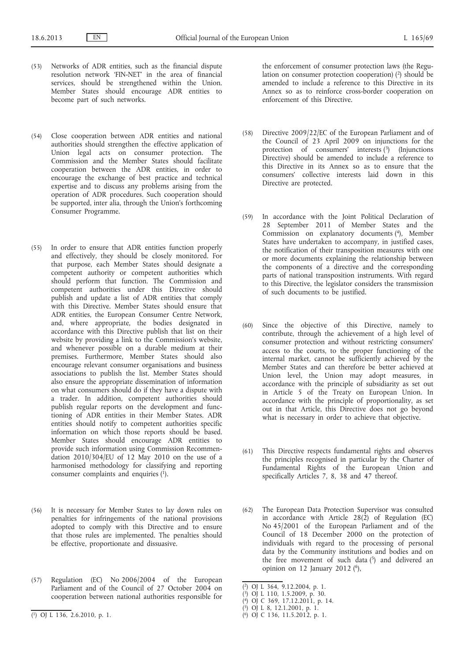- (53) Networks of ADR entities, such as the financial dispute resolution network 'FIN-NET' in the area of financial services, should be strengthened within the Union. Member States should encourage ADR entities to become part of such networks.
- (54) Close cooperation between ADR entities and national authorities should strengthen the effective application of Union legal acts on consumer protection. The Commission and the Member States should facilitate cooperation between the ADR entities, in order to encourage the exchange of best practice and technical expertise and to discuss any problems arising from the operation of ADR procedures. Such cooperation should be supported, inter alia, through the Union's forthcoming Consumer Programme.
- (55) In order to ensure that ADR entities function properly and effectively, they should be closely monitored. For that purpose, each Member States should designate a competent authority or competent authorities which should perform that function. The Commission and competent authorities under this Directive should publish and update a list of ADR entities that comply with this Directive. Member States should ensure that ADR entities, the European Consumer Centre Network, and, where appropriate, the bodies designated in accordance with this Directive publish that list on their website by providing a link to the Commission's website, and whenever possible on a durable medium at their premises. Furthermore, Member States should also encourage relevant consumer organisations and business associations to publish the list. Member States should also ensure the appropriate dissemination of information on what consumers should do if they have a dispute with a trader. In addition, competent authorities should publish regular reports on the development and functioning of ADR entities in their Member States. ADR entities should notify to competent authorities specific information on which those reports should be based. Member States should encourage ADR entities to provide such information using Commission Recommendation 2010/304/EU of 12 May 2010 on the use of a harmonised methodology for classifying and reporting consumer complaints and enquiries  $(1)$ .
- (56) It is necessary for Member States to lay down rules on penalties for infringements of the national provisions adopted to comply with this Directive and to ensure that those rules are implemented. The penalties should be effective, proportionate and dissuasive.
- (57) Regulation (EC) No 2006/2004 of the European Parliament and of the Council of 27 October 2004 on cooperation between national authorities responsible for
- ( 1) OJ L 136, 2.6.2010, p. 1.

the enforcement of consumer protection laws (the Regulation on consumer protection cooperation) (2) should be amended to include a reference to this Directive in its Annex so as to reinforce cross-border cooperation on enforcement of this Directive.

- (58) Directive 2009/22/EC of the European Parliament and of the Council of 23 April 2009 on injunctions for the protection of consumers' interests  $(3)$  (Injunctions Directive) should be amended to include a reference to this Directive in its Annex so as to ensure that the consumers' collective interests laid down in this Directive are protected.
- (59) In accordance with the Joint Political Declaration of 28 September 2011 of Member States and the Commission on explanatory documents (4), Member States have undertaken to accompany, in justified cases, the notification of their transposition measures with one or more documents explaining the relationship between the components of a directive and the corresponding parts of national transposition instruments. With regard to this Directive, the legislator considers the transmission of such documents to be justified.
- (60) Since the objective of this Directive, namely to contribute, through the achievement of a high level of consumer protection and without restricting consumers' access to the courts, to the proper functioning of the internal market, cannot be sufficiently achieved by the Member States and can therefore be better achieved at Union level, the Union may adopt measures, in accordance with the principle of subsidiarity as set out in Article 5 of the Treaty on European Union. In accordance with the principle of proportionality, as set out in that Article, this Directive does not go beyond what is necessary in order to achieve that objective.
- (61) This Directive respects fundamental rights and observes the principles recognised in particular by the Charter of Fundamental Rights of the European Union and specifically Articles 7, 8, 38 and 47 thereof.
- (62) The European Data Protection Supervisor was consulted in accordance with Article  $28(2)$  of Regulation (EC) No 45/2001 of the European Parliament and of the Council of 18 December 2000 on the protection of individuals with regard to the processing of personal data by the Community institutions and bodies and on the free movement of such data  $(5)$  and delivered an opinion on 12 January 2012  $(6)$ ,

( 4) OJ C 369, 17.12.2011, p. 14.

( 6) OJ C 136, 11.5.2012, p. 1.

<sup>(</sup> 2) OJ L 364, 9.12.2004, p. 1.

<sup>(</sup> 3) OJ L 110, 1.5.2009, p. 30.

<sup>(</sup> 5) OJ L 8, 12.1.2001, p. 1.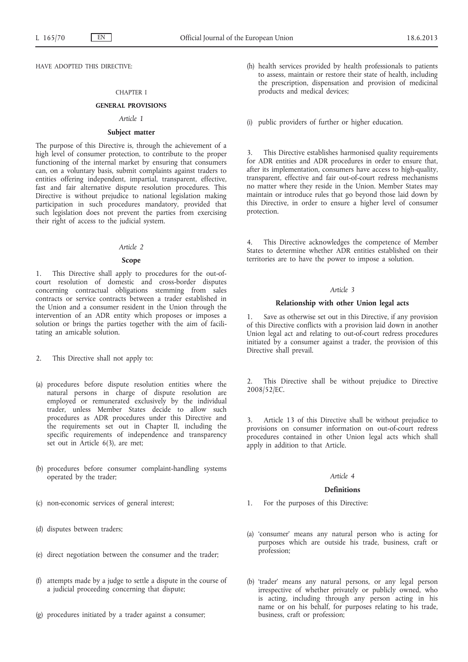HAVE ADOPTED THIS DIRECTIVE:

## CHAPTER I

#### **GENERAL PROVISIONS**

# *Article 1*

# **Subject matter**

The purpose of this Directive is, through the achievement of a high level of consumer protection, to contribute to the proper functioning of the internal market by ensuring that consumers can, on a voluntary basis, submit complaints against traders to entities offering independent, impartial, transparent, effective, fast and fair alternative dispute resolution procedures. This Directive is without prejudice to national legislation making participation in such procedures mandatory, provided that such legislation does not prevent the parties from exercising their right of access to the judicial system.

#### *Article 2*

#### **Scope**

1. This Directive shall apply to procedures for the out-ofcourt resolution of domestic and cross-border disputes concerning contractual obligations stemming from sales contracts or service contracts between a trader established in the Union and a consumer resident in the Union through the intervention of an ADR entity which proposes or imposes a solution or brings the parties together with the aim of facilitating an amicable solution.

2. This Directive shall not apply to:

- (a) procedures before dispute resolution entities where the natural persons in charge of dispute resolution are employed or remunerated exclusively by the individual trader, unless Member States decide to allow such procedures as ADR procedures under this Directive and the requirements set out in Chapter II, including the specific requirements of independence and transparency set out in Article 6(3), are met;
- (b) procedures before consumer complaint-handling systems operated by the trader;
- (c) non-economic services of general interest;
- (d) disputes between traders;
- (e) direct negotiation between the consumer and the trader;
- (f) attempts made by a judge to settle a dispute in the course of a judicial proceeding concerning that dispute;
- (g) procedures initiated by a trader against a consumer;
- (h) health services provided by health professionals to patients to assess, maintain or restore their state of health, including the prescription, dispensation and provision of medicinal products and medical devices;
- (i) public providers of further or higher education.

3. This Directive establishes harmonised quality requirements for ADR entities and ADR procedures in order to ensure that, after its implementation, consumers have access to high-quality, transparent, effective and fair out-of-court redress mechanisms no matter where they reside in the Union. Member States may maintain or introduce rules that go beyond those laid down by this Directive, in order to ensure a higher level of consumer protection.

This Directive acknowledges the competence of Member States to determine whether ADR entities established on their territories are to have the power to impose a solution.

# *Article 3*

#### **Relationship with other Union legal acts**

Save as otherwise set out in this Directive, if any provision of this Directive conflicts with a provision laid down in another Union legal act and relating to out-of-court redress procedures initiated by a consumer against a trader, the provision of this Directive shall prevail.

This Directive shall be without prejudice to Directive 2008/52/EC.

3. Article 13 of this Directive shall be without prejudice to provisions on consumer information on out-of-court redress procedures contained in other Union legal acts which shall apply in addition to that Article.

#### *Article 4*

### **Definitions**

- 1. For the purposes of this Directive:
- (a) 'consumer' means any natural person who is acting for purposes which are outside his trade, business, craft or profession;
- (b) 'trader' means any natural persons, or any legal person irrespective of whether privately or publicly owned, who is acting, including through any person acting in his name or on his behalf, for purposes relating to his trade, business, craft or profession;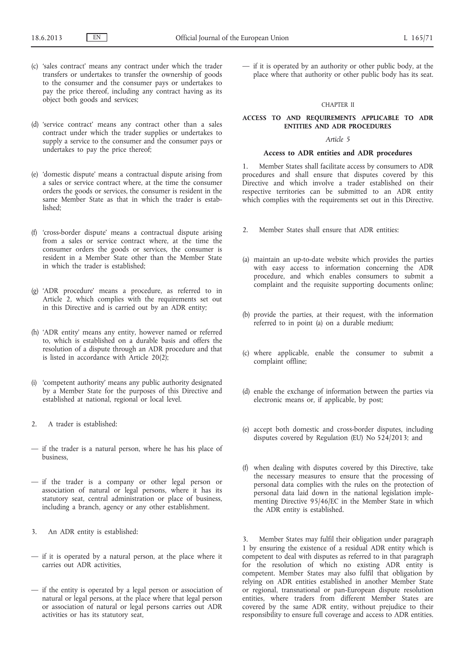- (c) 'sales contract' means any contract under which the trader transfers or undertakes to transfer the ownership of goods to the consumer and the consumer pays or undertakes to pay the price thereof, including any contract having as its object both goods and services;
- (d) 'service contract' means any contract other than a sales contract under which the trader supplies or undertakes to supply a service to the consumer and the consumer pays or undertakes to pay the price thereof;
- (e) 'domestic dispute' means a contractual dispute arising from a sales or service contract where, at the time the consumer orders the goods or services, the consumer is resident in the same Member State as that in which the trader is established;
- (f) 'cross-border dispute' means a contractual dispute arising from a sales or service contract where, at the time the consumer orders the goods or services, the consumer is resident in a Member State other than the Member State in which the trader is established;
- (g) 'ADR procedure' means a procedure, as referred to in Article 2, which complies with the requirements set out in this Directive and is carried out by an ADR entity;
- (h) 'ADR entity' means any entity, however named or referred to, which is established on a durable basis and offers the resolution of a dispute through an ADR procedure and that is listed in accordance with Article 20(2);
- (i) 'competent authority' means any public authority designated by a Member State for the purposes of this Directive and established at national, regional or local level.
- 2. A trader is established:
- if the trader is a natural person, where he has his place of business,
- if the trader is a company or other legal person or association of natural or legal persons, where it has its statutory seat, central administration or place of business, including a branch, agency or any other establishment.
- 3. An ADR entity is established:
- if it is operated by a natural person, at the place where it carries out ADR activities,
- if the entity is operated by a legal person or association of natural or legal persons, at the place where that legal person or association of natural or legal persons carries out ADR activities or has its statutory seat,

— if it is operated by an authority or other public body, at the place where that authority or other public body has its seat.

#### CHAPTER II

# **ACCESS TO AND REQUIREMENTS APPLICABLE TO ADR ENTITIES AND ADR PROCEDURES**

# *Article 5*

# **Access to ADR entities and ADR procedures**

1. Member States shall facilitate access by consumers to ADR procedures and shall ensure that disputes covered by this Directive and which involve a trader established on their respective territories can be submitted to an ADR entity which complies with the requirements set out in this Directive.

- 2. Member States shall ensure that ADR entities:
- (a) maintain an up-to-date website which provides the parties with easy access to information concerning the ADR procedure, and which enables consumers to submit a complaint and the requisite supporting documents online;
- (b) provide the parties, at their request, with the information referred to in point (a) on a durable medium;
- (c) where applicable, enable the consumer to submit a complaint offline;
- (d) enable the exchange of information between the parties via electronic means or, if applicable, by post;
- (e) accept both domestic and cross-border disputes, including disputes covered by Regulation (EU) No 524/2013; and
- (f) when dealing with disputes covered by this Directive, take the necessary measures to ensure that the processing of personal data complies with the rules on the protection of personal data laid down in the national legislation implementing Directive 95/46/EC in the Member State in which the ADR entity is established.

3. Member States may fulfil their obligation under paragraph 1 by ensuring the existence of a residual ADR entity which is competent to deal with disputes as referred to in that paragraph for the resolution of which no existing ADR entity is competent. Member States may also fulfil that obligation by relying on ADR entities established in another Member State or regional, transnational or pan-European dispute resolution entities, where traders from different Member States are covered by the same ADR entity, without prejudice to their responsibility to ensure full coverage and access to ADR entities.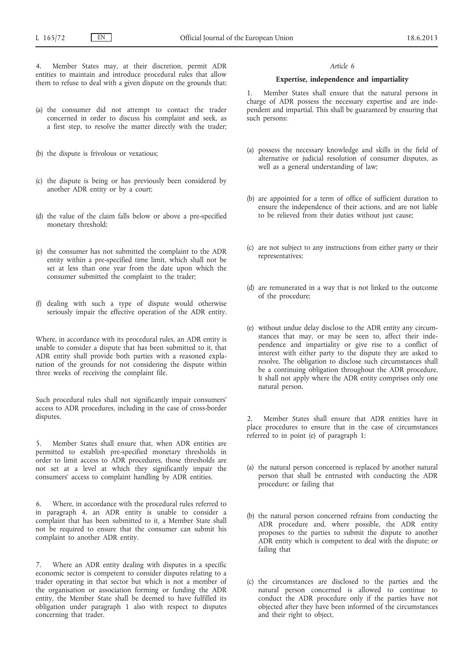4. Member States may, at their discretion, permit ADR entities to maintain and introduce procedural rules that allow them to refuse to deal with a given dispute on the grounds that:

- (a) the consumer did not attempt to contact the trader concerned in order to discuss his complaint and seek, as a first step, to resolve the matter directly with the trader;
- (b) the dispute is frivolous or vexatious;
- (c) the dispute is being or has previously been considered by another ADR entity or by a court;
- (d) the value of the claim falls below or above a pre-specified monetary threshold;
- (e) the consumer has not submitted the complaint to the ADR entity within a pre-specified time limit, which shall not be set at less than one year from the date upon which the consumer submitted the complaint to the trader;
- (f) dealing with such a type of dispute would otherwise seriously impair the effective operation of the ADR entity.

Where, in accordance with its procedural rules, an ADR entity is unable to consider a dispute that has been submitted to it, that ADR entity shall provide both parties with a reasoned explanation of the grounds for not considering the dispute within three weeks of receiving the complaint file.

Such procedural rules shall not significantly impair consumers' access to ADR procedures, including in the case of cross-border disputes.

5. Member States shall ensure that, when ADR entities are permitted to establish pre-specified monetary thresholds in order to limit access to ADR procedures, those thresholds are not set at a level at which they significantly impair the consumers' access to complaint handling by ADR entities.

6. Where, in accordance with the procedural rules referred to in paragraph 4, an ADR entity is unable to consider a complaint that has been submitted to it, a Member State shall not be required to ensure that the consumer can submit his complaint to another ADR entity.

7. Where an ADR entity dealing with disputes in a specific economic sector is competent to consider disputes relating to a trader operating in that sector but which is not a member of the organisation or association forming or funding the ADR entity, the Member State shall be deemed to have fulfilled its obligation under paragraph 1 also with respect to disputes concerning that trader.

#### *Article 6*

# **Expertise, independence and impartiality**

1. Member States shall ensure that the natural persons in charge of ADR possess the necessary expertise and are independent and impartial. This shall be guaranteed by ensuring that such persons:

- (a) possess the necessary knowledge and skills in the field of alternative or judicial resolution of consumer disputes, as well as a general understanding of law;
- (b) are appointed for a term of office of sufficient duration to ensure the independence of their actions, and are not liable to be relieved from their duties without just cause;
- (c) are not subject to any instructions from either party or their representatives;
- (d) are remunerated in a way that is not linked to the outcome of the procedure;
- (e) without undue delay disclose to the ADR entity any circumstances that may, or may be seen to, affect their independence and impartiality or give rise to a conflict of interest with either party to the dispute they are asked to resolve. The obligation to disclose such circumstances shall be a continuing obligation throughout the ADR procedure. It shall not apply where the ADR entity comprises only one natural person.

2. Member States shall ensure that ADR entities have in place procedures to ensure that in the case of circumstances referred to in point (e) of paragraph 1:

- (a) the natural person concerned is replaced by another natural person that shall be entrusted with conducting the ADR procedure; or failing that
- (b) the natural person concerned refrains from conducting the ADR procedure and, where possible, the ADR entity proposes to the parties to submit the dispute to another ADR entity which is competent to deal with the dispute; or failing that
- (c) the circumstances are disclosed to the parties and the natural person concerned is allowed to continue to conduct the ADR procedure only if the parties have not objected after they have been informed of the circumstances and their right to object.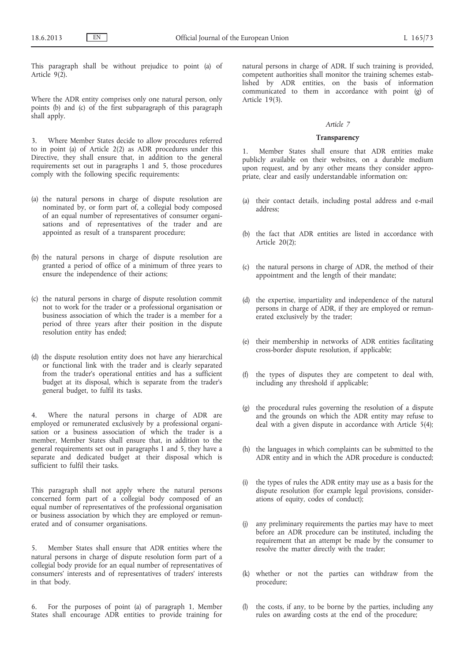This paragraph shall be without prejudice to point (a) of Article 9(2).

Where the ADR entity comprises only one natural person, only points (b) and (c) of the first subparagraph of this paragraph shall apply.

Where Member States decide to allow procedures referred to in point (a) of Article 2(2) as ADR procedures under this Directive, they shall ensure that, in addition to the general requirements set out in paragraphs 1 and 5, those procedures comply with the following specific requirements:

- (a) the natural persons in charge of dispute resolution are nominated by, or form part of, a collegial body composed of an equal number of representatives of consumer organisations and of representatives of the trader and are appointed as result of a transparent procedure;
- (b) the natural persons in charge of dispute resolution are granted a period of office of a minimum of three years to ensure the independence of their actions;
- (c) the natural persons in charge of dispute resolution commit not to work for the trader or a professional organisation or business association of which the trader is a member for a period of three years after their position in the dispute resolution entity has ended;
- (d) the dispute resolution entity does not have any hierarchical or functional link with the trader and is clearly separated from the trader's operational entities and has a sufficient budget at its disposal, which is separate from the trader's general budget, to fulfil its tasks.

4. Where the natural persons in charge of ADR are employed or remunerated exclusively by a professional organisation or a business association of which the trader is a member, Member States shall ensure that, in addition to the general requirements set out in paragraphs 1 and 5, they have a separate and dedicated budget at their disposal which is sufficient to fulfil their tasks.

This paragraph shall not apply where the natural persons concerned form part of a collegial body composed of an equal number of representatives of the professional organisation or business association by which they are employed or remunerated and of consumer organisations.

5. Member States shall ensure that ADR entities where the natural persons in charge of dispute resolution form part of a collegial body provide for an equal number of representatives of consumers' interests and of representatives of traders' interests in that body.

6. For the purposes of point (a) of paragraph 1, Member States shall encourage ADR entities to provide training for natural persons in charge of ADR. If such training is provided, competent authorities shall monitor the training schemes established by ADR entities, on the basis of information communicated to them in accordance with point (g) of Article 19(3).

### *Article 7*

## **Transparency**

1. Member States shall ensure that ADR entities make publicly available on their websites, on a durable medium upon request, and by any other means they consider appropriate, clear and easily understandable information on:

- (a) their contact details, including postal address and e-mail address;
- (b) the fact that ADR entities are listed in accordance with Article 20(2);
- (c) the natural persons in charge of ADR, the method of their appointment and the length of their mandate;
- (d) the expertise, impartiality and independence of the natural persons in charge of ADR, if they are employed or remunerated exclusively by the trader;
- (e) their membership in networks of ADR entities facilitating cross-border dispute resolution, if applicable;
- (f) the types of disputes they are competent to deal with, including any threshold if applicable;
- (g) the procedural rules governing the resolution of a dispute and the grounds on which the ADR entity may refuse to deal with a given dispute in accordance with Article 5(4);
- (h) the languages in which complaints can be submitted to the ADR entity and in which the ADR procedure is conducted;
- (i) the types of rules the ADR entity may use as a basis for the dispute resolution (for example legal provisions, considerations of equity, codes of conduct);
- (j) any preliminary requirements the parties may have to meet before an ADR procedure can be instituted, including the requirement that an attempt be made by the consumer to resolve the matter directly with the trader;
- (k) whether or not the parties can withdraw from the procedure;
- (l) the costs, if any, to be borne by the parties, including any rules on awarding costs at the end of the procedure;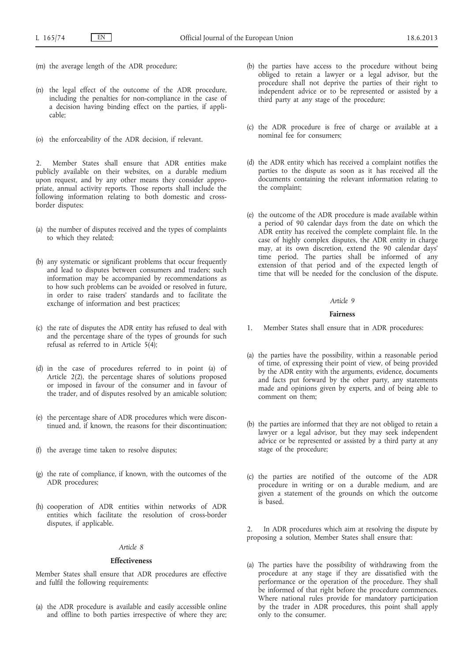- (m) the average length of the ADR procedure;
- (n) the legal effect of the outcome of the ADR procedure, including the penalties for non-compliance in the case of a decision having binding effect on the parties, if applicable;
- (o) the enforceability of the ADR decision, if relevant.

2. Member States shall ensure that ADR entities make publicly available on their websites, on a durable medium upon request, and by any other means they consider appropriate, annual activity reports. Those reports shall include the following information relating to both domestic and crossborder disputes:

- (a) the number of disputes received and the types of complaints to which they related;
- (b) any systematic or significant problems that occur frequently and lead to disputes between consumers and traders; such information may be accompanied by recommendations as to how such problems can be avoided or resolved in future, in order to raise traders' standards and to facilitate the exchange of information and best practices;
- (c) the rate of disputes the ADR entity has refused to deal with and the percentage share of the types of grounds for such refusal as referred to in Article 5(4);
- (d) in the case of procedures referred to in point (a) of Article 2(2), the percentage shares of solutions proposed or imposed in favour of the consumer and in favour of the trader, and of disputes resolved by an amicable solution;
- (e) the percentage share of ADR procedures which were discontinued and, if known, the reasons for their discontinuation;
- (f) the average time taken to resolve disputes;
- (g) the rate of compliance, if known, with the outcomes of the ADR procedures;
- (h) cooperation of ADR entities within networks of ADR entities which facilitate the resolution of cross-border disputes, if applicable.

# *Article 8*

# **Effectiveness**

Member States shall ensure that ADR procedures are effective and fulfil the following requirements:

(a) the ADR procedure is available and easily accessible online and offline to both parties irrespective of where they are;

- (b) the parties have access to the procedure without being obliged to retain a lawyer or a legal advisor, but the procedure shall not deprive the parties of their right to independent advice or to be represented or assisted by a third party at any stage of the procedure;
- (c) the ADR procedure is free of charge or available at a nominal fee for consumers;
- (d) the ADR entity which has received a complaint notifies the parties to the dispute as soon as it has received all the documents containing the relevant information relating to the complaint;
- (e) the outcome of the ADR procedure is made available within a period of 90 calendar days from the date on which the ADR entity has received the complete complaint file. In the case of highly complex disputes, the ADR entity in charge may, at its own discretion, extend the 90 calendar days' time period. The parties shall be informed of any extension of that period and of the expected length of time that will be needed for the conclusion of the dispute.

#### *Article 9*

# **Fairness**

- 1. Member States shall ensure that in ADR procedures:
- (a) the parties have the possibility, within a reasonable period of time, of expressing their point of view, of being provided by the ADR entity with the arguments, evidence, documents and facts put forward by the other party, any statements made and opinions given by experts, and of being able to comment on them;
- (b) the parties are informed that they are not obliged to retain a lawyer or a legal advisor, but they may seek independent advice or be represented or assisted by a third party at any stage of the procedure;
- (c) the parties are notified of the outcome of the ADR procedure in writing or on a durable medium, and are given a statement of the grounds on which the outcome is based.

2. In ADR procedures which aim at resolving the dispute by proposing a solution, Member States shall ensure that:

(a) The parties have the possibility of withdrawing from the procedure at any stage if they are dissatisfied with the performance or the operation of the procedure. They shall be informed of that right before the procedure commences. Where national rules provide for mandatory participation by the trader in ADR procedures, this point shall apply only to the consumer.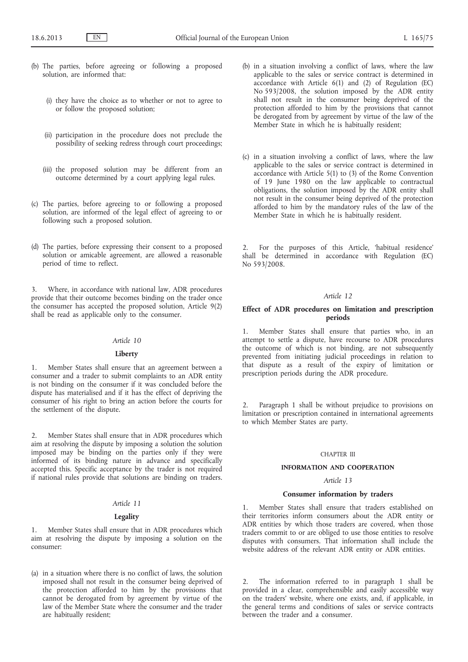- (b) The parties, before agreeing or following a proposed solution, are informed that:
	- (i) they have the choice as to whether or not to agree to or follow the proposed solution;
	- (ii) participation in the procedure does not preclude the possibility of seeking redress through court proceedings;
	- (iii) the proposed solution may be different from an outcome determined by a court applying legal rules.
- (c) The parties, before agreeing to or following a proposed solution, are informed of the legal effect of agreeing to or following such a proposed solution.
- (d) The parties, before expressing their consent to a proposed solution or amicable agreement, are allowed a reasonable period of time to reflect.

3. Where, in accordance with national law, ADR procedures provide that their outcome becomes binding on the trader once the consumer has accepted the proposed solution, Article 9(2) shall be read as applicable only to the consumer.

# *Article 10*

#### **Liberty**

1. Member States shall ensure that an agreement between a consumer and a trader to submit complaints to an ADR entity is not binding on the consumer if it was concluded before the dispute has materialised and if it has the effect of depriving the consumer of his right to bring an action before the courts for the settlement of the dispute.

2. Member States shall ensure that in ADR procedures which aim at resolving the dispute by imposing a solution the solution imposed may be binding on the parties only if they were informed of its binding nature in advance and specifically accepted this. Specific acceptance by the trader is not required if national rules provide that solutions are binding on traders.

# *Article 11*

# **Legality**

1. Member States shall ensure that in ADR procedures which aim at resolving the dispute by imposing a solution on the consumer:

(a) in a situation where there is no conflict of laws, the solution imposed shall not result in the consumer being deprived of the protection afforded to him by the provisions that cannot be derogated from by agreement by virtue of the law of the Member State where the consumer and the trader are habitually resident;

- (b) in a situation involving a conflict of laws, where the law applicable to the sales or service contract is determined in accordance with Article 6(1) and (2) of Regulation (EC) No 593/2008, the solution imposed by the ADR entity shall not result in the consumer being deprived of the protection afforded to him by the provisions that cannot be derogated from by agreement by virtue of the law of the Member State in which he is habitually resident;
- (c) in a situation involving a conflict of laws, where the law applicable to the sales or service contract is determined in accordance with Article 5(1) to (3) of the Rome Convention of 19 June 1980 on the law applicable to contractual obligations, the solution imposed by the ADR entity shall not result in the consumer being deprived of the protection afforded to him by the mandatory rules of the law of the Member State in which he is habitually resident.

2. For the purposes of this Article, 'habitual residence' shall be determined in accordance with Regulation (EC) No 593/2008.

# *Article 12*

# **Effect of ADR procedures on limitation and prescription periods**

1. Member States shall ensure that parties who, in an attempt to settle a dispute, have recourse to ADR procedures the outcome of which is not binding, are not subsequently prevented from initiating judicial proceedings in relation to that dispute as a result of the expiry of limitation or prescription periods during the ADR procedure.

Paragraph 1 shall be without prejudice to provisions on limitation or prescription contained in international agreements to which Member States are party.

#### CHAPTER III

#### **INFORMATION AND COOPERATION**

#### *Article 13*

#### **Consumer information by traders**

1. Member States shall ensure that traders established on their territories inform consumers about the ADR entity or ADR entities by which those traders are covered, when those traders commit to or are obliged to use those entities to resolve disputes with consumers. That information shall include the website address of the relevant ADR entity or ADR entities.

2. The information referred to in paragraph 1 shall be provided in a clear, comprehensible and easily accessible way on the traders' website, where one exists, and, if applicable, in the general terms and conditions of sales or service contracts between the trader and a consumer.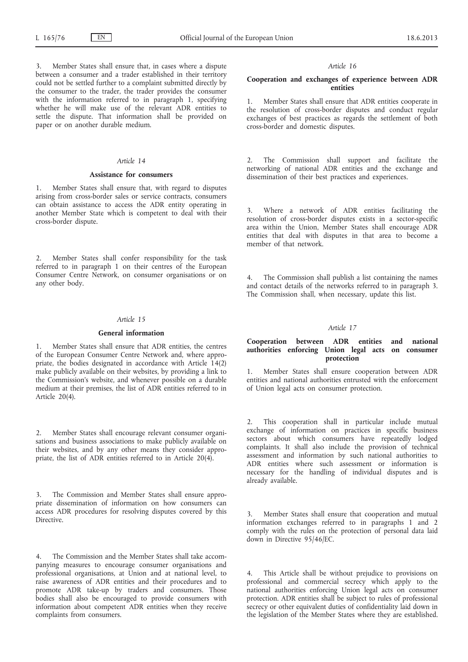Member States shall ensure that, in cases where a dispute between a consumer and a trader established in their territory could not be settled further to a complaint submitted directly by the consumer to the trader, the trader provides the consumer with the information referred to in paragraph 1, specifying whether he will make use of the relevant ADR entities to settle the dispute. That information shall be provided on paper or on another durable medium.

# *Article 14*

#### **Assistance for consumers**

1. Member States shall ensure that, with regard to disputes arising from cross-border sales or service contracts, consumers can obtain assistance to access the ADR entity operating in another Member State which is competent to deal with their cross-border dispute.

2. Member States shall confer responsibility for the task referred to in paragraph 1 on their centres of the European Consumer Centre Network, on consumer organisations or on any other body.

#### *Article 15*

#### **General information**

Member States shall ensure that ADR entities, the centres of the European Consumer Centre Network and, where appropriate, the bodies designated in accordance with Article  $14(2)$ make publicly available on their websites, by providing a link to the Commission's website, and whenever possible on a durable medium at their premises, the list of ADR entities referred to in Article 20(4).

2. Member States shall encourage relevant consumer organisations and business associations to make publicly available on their websites, and by any other means they consider appropriate, the list of ADR entities referred to in Article 20(4).

3. The Commission and Member States shall ensure appropriate dissemination of information on how consumers can access ADR procedures for resolving disputes covered by this **Directive** 

4. The Commission and the Member States shall take accompanying measures to encourage consumer organisations and professional organisations, at Union and at national level, to raise awareness of ADR entities and their procedures and to promote ADR take-up by traders and consumers. Those bodies shall also be encouraged to provide consumers with information about competent ADR entities when they receive complaints from consumers.

## *Article 16*

# **Cooperation and exchanges of experience between ADR entities**

Member States shall ensure that ADR entities cooperate in the resolution of cross-border disputes and conduct regular exchanges of best practices as regards the settlement of both cross-border and domestic disputes.

2. The Commission shall support and facilitate the networking of national ADR entities and the exchange and dissemination of their best practices and experiences.

3. Where a network of ADR entities facilitating the resolution of cross-border disputes exists in a sector-specific area within the Union, Member States shall encourage ADR entities that deal with disputes in that area to become a member of that network.

The Commission shall publish a list containing the names and contact details of the networks referred to in paragraph 3. The Commission shall, when necessary, update this list.

# *Article 17*

# **Cooperation between ADR entities and national authorities enforcing Union legal acts on consumer protection**

1. Member States shall ensure cooperation between ADR entities and national authorities entrusted with the enforcement of Union legal acts on consumer protection.

2. This cooperation shall in particular include mutual exchange of information on practices in specific business sectors about which consumers have repeatedly lodged complaints. It shall also include the provision of technical assessment and information by such national authorities to ADR entities where such assessment or information is necessary for the handling of individual disputes and is already available.

Member States shall ensure that cooperation and mutual information exchanges referred to in paragraphs 1 and 2 comply with the rules on the protection of personal data laid down in Directive 95/46/EC.

This Article shall be without prejudice to provisions on professional and commercial secrecy which apply to the national authorities enforcing Union legal acts on consumer protection. ADR entities shall be subject to rules of professional secrecy or other equivalent duties of confidentiality laid down in the legislation of the Member States where they are established.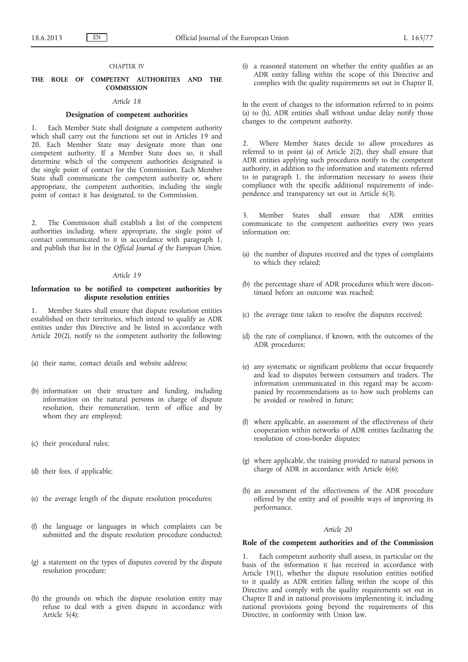#### CHAPTER IV

#### **THE ROLE OF COMPETENT AUTHORITIES AND THE COMMISSION**

#### *Article 18*

#### **Designation of competent authorities**

1. Each Member State shall designate a competent authority which shall carry out the functions set out in Articles 19 and 20. Each Member State may designate more than one competent authority. If a Member State does so, it shall determine which of the competent authorities designated is the single point of contact for the Commission. Each Member State shall communicate the competent authority or, where appropriate, the competent authorities, including the single point of contact it has designated, to the Commission.

The Commission shall establish a list of the competent authorities including, where appropriate, the single point of contact communicated to it in accordance with paragraph 1, and publish that list in the *Official Journal of the European Union*.

#### *Article 19*

## **Information to be notified to competent authorities by dispute resolution entities**

1. Member States shall ensure that dispute resolution entities established on their territories, which intend to qualify as ADR entities under this Directive and be listed in accordance with Article 20(2), notify to the competent authority the following:

- (a) their name, contact details and website address;
- (b) information on their structure and funding, including information on the natural persons in charge of dispute resolution, their remuneration, term of office and by whom they are employed;
- (c) their procedural rules;
- (d) their fees, if applicable;
- (e) the average length of the dispute resolution procedures;
- (f) the language or languages in which complaints can be submitted and the dispute resolution procedure conducted;
- (g) a statement on the types of disputes covered by the dispute resolution procedure;
- (h) the grounds on which the dispute resolution entity may refuse to deal with a given dispute in accordance with Article 5(4);

(i) a reasoned statement on whether the entity qualifies as an ADR entity falling within the scope of this Directive and complies with the quality requirements set out in Chapter II.

In the event of changes to the information referred to in points (a) to (h), ADR entities shall without undue delay notify those changes to the competent authority.

Where Member States decide to allow procedures as referred to in point (a) of Article 2(2), they shall ensure that ADR entities applying such procedures notify to the competent authority, in addition to the information and statements referred to in paragraph 1, the information necessary to assess their compliance with the specific additional requirements of independence and transparency set out in Article 6(3).

3. Member States shall ensure that ADR entities communicate to the competent authorities every two years information on:

- (a) the number of disputes received and the types of complaints to which they related;
- (b) the percentage share of ADR procedures which were discontinued before an outcome was reached;
- (c) the average time taken to resolve the disputes received;
- (d) the rate of compliance, if known, with the outcomes of the ADR procedures;
- (e) any systematic or significant problems that occur frequently and lead to disputes between consumers and traders. The information communicated in this regard may be accompanied by recommendations as to how such problems can be avoided or resolved in future;
- (f) where applicable, an assessment of the effectiveness of their cooperation within networks of ADR entities facilitating the resolution of cross-border disputes;
- (g) where applicable, the training provided to natural persons in charge of ADR in accordance with Article 6(6);
- (h) an assessment of the effectiveness of the ADR procedure offered by the entity and of possible ways of improving its performance.

#### *Article 20*

## **Role of the competent authorities and of the Commission**

1. Each competent authority shall assess, in particular on the basis of the information it has received in accordance with Article 19(1), whether the dispute resolution entities notified to it qualify as ADR entities falling within the scope of this Directive and comply with the quality requirements set out in Chapter II and in national provisions implementing it, including national provisions going beyond the requirements of this Directive, in conformity with Union law.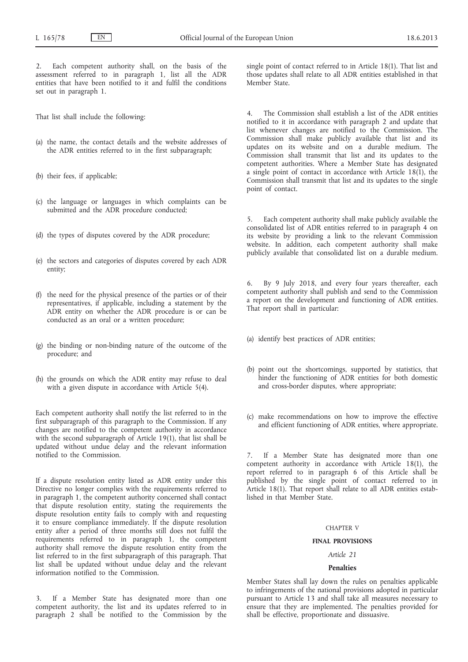Each competent authority shall, on the basis of the assessment referred to in paragraph 1, list all the ADR entities that have been notified to it and fulfil the conditions set out in paragraph 1.

That list shall include the following:

- (a) the name, the contact details and the website addresses of the ADR entities referred to in the first subparagraph;
- (b) their fees, if applicable;
- (c) the language or languages in which complaints can be submitted and the ADR procedure conducted;
- (d) the types of disputes covered by the ADR procedure;
- (e) the sectors and categories of disputes covered by each ADR entity;
- (f) the need for the physical presence of the parties or of their representatives, if applicable, including a statement by the ADR entity on whether the ADR procedure is or can be conducted as an oral or a written procedure;
- (g) the binding or non-binding nature of the outcome of the procedure; and
- (h) the grounds on which the ADR entity may refuse to deal with a given dispute in accordance with Article 5(4).

Each competent authority shall notify the list referred to in the first subparagraph of this paragraph to the Commission. If any changes are notified to the competent authority in accordance with the second subparagraph of Article 19(1), that list shall be updated without undue delay and the relevant information notified to the Commission.

If a dispute resolution entity listed as ADR entity under this Directive no longer complies with the requirements referred to in paragraph 1, the competent authority concerned shall contact that dispute resolution entity, stating the requirements the dispute resolution entity fails to comply with and requesting it to ensure compliance immediately. If the dispute resolution entity after a period of three months still does not fulfil the requirements referred to in paragraph 1, the competent authority shall remove the dispute resolution entity from the list referred to in the first subparagraph of this paragraph. That list shall be updated without undue delay and the relevant information notified to the Commission.

3. If a Member State has designated more than one competent authority, the list and its updates referred to in paragraph 2 shall be notified to the Commission by the single point of contact referred to in Article 18(1). That list and those updates shall relate to all ADR entities established in that Member State.

4. The Commission shall establish a list of the ADR entities notified to it in accordance with paragraph 2 and update that list whenever changes are notified to the Commission. The Commission shall make publicly available that list and its updates on its website and on a durable medium. The Commission shall transmit that list and its updates to the competent authorities. Where a Member State has designated a single point of contact in accordance with Article 18(1), the Commission shall transmit that list and its updates to the single point of contact.

5. Each competent authority shall make publicly available the consolidated list of ADR entities referred to in paragraph 4 on its website by providing a link to the relevant Commission website. In addition, each competent authority shall make publicly available that consolidated list on a durable medium.

6. By 9 July 2018, and every four years thereafter, each competent authority shall publish and send to the Commission a report on the development and functioning of ADR entities. That report shall in particular:

- (a) identify best practices of ADR entities;
- (b) point out the shortcomings, supported by statistics, that hinder the functioning of ADR entities for both domestic and cross-border disputes, where appropriate;
- (c) make recommendations on how to improve the effective and efficient functioning of ADR entities, where appropriate.

7. If a Member State has designated more than one competent authority in accordance with Article 18(1), the report referred to in paragraph 6 of this Article shall be published by the single point of contact referred to in Article 18(1). That report shall relate to all ADR entities established in that Member State.

#### CHAPTER V

## **FINAL PROVISIONS**

# *Article 21*

# **Penalties**

Member States shall lay down the rules on penalties applicable to infringements of the national provisions adopted in particular pursuant to Article 13 and shall take all measures necessary to ensure that they are implemented. The penalties provided for shall be effective, proportionate and dissuasive.